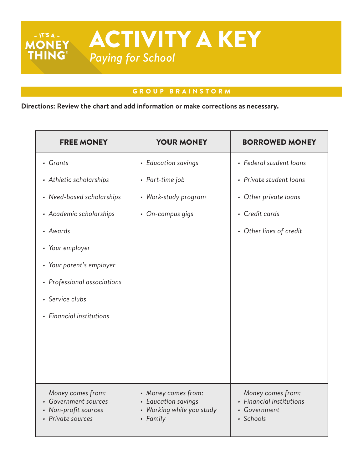## GROUP BRAINSTORM

**Directions: Review the chart and add information or make corrections as necessary.** 

| <b>FREE MONEY</b>                                                                    | <b>YOUR MONEY</b>                                                                 | <b>BORROWED MONEY</b>                                                         |
|--------------------------------------------------------------------------------------|-----------------------------------------------------------------------------------|-------------------------------------------------------------------------------|
| • Grants                                                                             | • Education savings                                                               | • Federal student loans                                                       |
| • Athletic scholarships                                                              | • Part-time job                                                                   | • Private student loans                                                       |
| • Need-based scholarships                                                            | • Work-study program                                                              | • Other private loans                                                         |
| • Academic scholarships                                                              | • On-campus gigs                                                                  | • Credit cards                                                                |
| • Awards                                                                             |                                                                                   | • Other lines of credit                                                       |
| • Your employer                                                                      |                                                                                   |                                                                               |
| • Your parent's employer                                                             |                                                                                   |                                                                               |
| • Professional associations                                                          |                                                                                   |                                                                               |
| • Service clubs                                                                      |                                                                                   |                                                                               |
| • Financial institutions                                                             |                                                                                   |                                                                               |
|                                                                                      |                                                                                   |                                                                               |
|                                                                                      |                                                                                   |                                                                               |
|                                                                                      |                                                                                   |                                                                               |
| Money comes from:<br>Government sources<br>• Non-profit sources<br>• Private sources | • Money comes from:<br>• Education savings<br>Working while you study<br>• Family | Money comes from:<br><b>Financial institutions</b><br>Government<br>· Schools |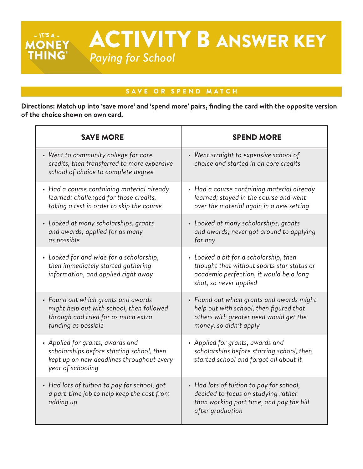ACTIVITY B ANSWER KEY MONEY *Paying for School*

### SAVE OR SPEND MATCH

 $- IT'S A -$ 

**Directions: Match up into 'save more' and 'spend more' pairs, finding the card with the opposite version of the choice shown on own card.**

| <b>SAVE MORE</b>                                                                                                                                | <b>SPEND MORE</b>                                                                                                                                         |
|-------------------------------------------------------------------------------------------------------------------------------------------------|-----------------------------------------------------------------------------------------------------------------------------------------------------------|
| • Went to community college for core<br>credits, then transferred to more expensive<br>school of choice to complete degree                      | • Went straight to expensive school of<br>choice and started in on core credits                                                                           |
| • Had a course containing material already<br>learned; challenged for those credits,<br>taking a test in order to skip the course               | • Had a course containing material already<br>learned; stayed in the course and went<br>over the material again in a new setting                          |
| • Looked at many scholarships, grants<br>and awards; applied for as many<br>as possible                                                         | • Looked at many scholarships, grants<br>and awards; never got around to applying<br>for any                                                              |
| • Looked far and wide for a scholarship,<br>then immediately started gathering<br>information, and applied right away                           | • Looked a bit for a scholarship, then<br>thought that without sports star status or<br>academic perfection, it would be a long<br>shot, so never applied |
| • Found out which grants and awards<br>might help out with school, then followed<br>through and tried for as much extra<br>funding as possible  | • Found out which grants and awards might<br>help out with school, then figured that<br>others with greater need would get the<br>money, so didn't apply  |
| • Applied for grants, awards and<br>scholarships before starting school, then<br>kept up on new deadlines throughout every<br>year of schooling | • Applied for grants, awards and<br>scholarships before starting school, then<br>started school and forgot all about it                                   |
| • Had lots of tuition to pay for school, got<br>a part-time job to help keep the cost from<br>adding up                                         | • Had lots of tuition to pay for school,<br>decided to focus on studying rather<br>than working part time, and pay the bill<br>after graduation           |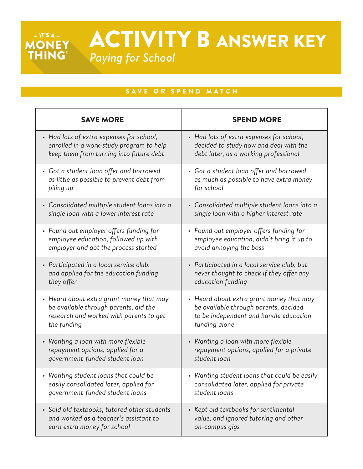# ACTIVITY B ANSWER KEY *Paying for School*

# SAVE OR SPEND MATCH

 $-$  IT'S A  $-$ 

**MONEY** 

| <b>SAVE MORE</b>                             | <b>SPEND MORE</b>                            |
|----------------------------------------------|----------------------------------------------|
| • Had lots of extra expenses for school,     | • Had lots of extra expenses for school,     |
| enrolled in a work-study program to help     | decided to study now and deal with the       |
| keep them from turning into future debt      | debt later, as a working professional        |
| • Got a student loan offer and borrowed      | • Got a student loan offer and borrowed      |
| as little as possible to prevent debt from   | as much as possible to have extra money      |
| piling up                                    | for school                                   |
| • Consolidated multiple student loans into a | • Consolidated multiple student loans into a |
| single loan with a lower interest rate       | single loan with a higher interest rate      |
| • Found out employer offers funding for      | • Found out employer offers funding for      |
| employee education, followed up with         | employee education, didn't bring it up to    |
| employer and got the process started         | avoid annoying the boss                      |
| • Participated in a local service club,      | • Participated in a local service club, but  |
| and applied for the education funding        | never thought to check if they offer any     |
| they offer                                   | education funding                            |
| • Heard about extra grant money that may     | • Heard about extra grant money that may     |
| be available through parents, did the        | be available through parents, decided        |
| research and worked with parents to get      | to be independent and handle education       |
| the funding                                  | funding alone                                |
| • Wanting a loan with more flexible          | • Wanting a loan with more flexible          |
| repayment options, applied for a             | repayment options, applied for a private     |
| government-funded student loan               | student loan                                 |
| Wanting student loans that could be          | Wanting student loans that could be easily   |
| easily consolidated later, applied for       | consolidated later, applied for private      |
| government-funded student loans              | student loans                                |
| • Sold old textbooks, tutored other students | • Kept old textbooks for sentimental         |
| and worked as a teacher's assistant to       | value, and ignored tutoring and other        |
| earn extra money for school                  | on-campus gigs                               |